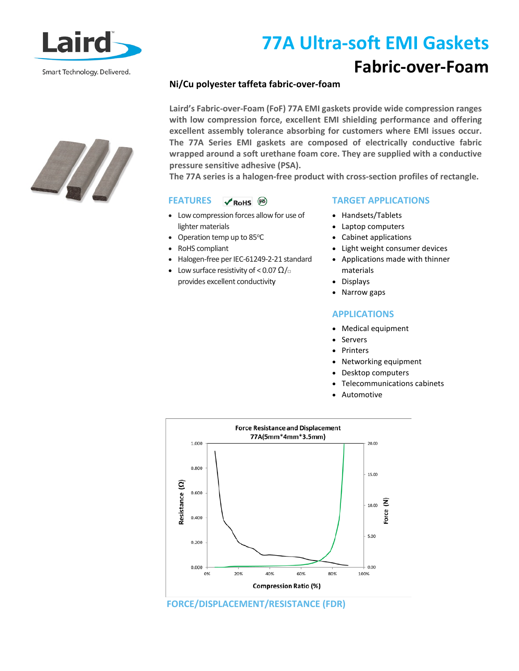

Smart Technology. Delivered.

# **77A Ultra-soft EMI Gaskets**

### **Fabric-over-Foam**

### **Ni/Cu polyester taffeta fabric-over-foam**

**Laird's Fabric-over-Foam (FoF) 77A EMI gaskets provide wide compression ranges with low compression force, excellent EMI shielding performance and offering excellent assembly tolerance absorbing for customers where EMI issues occur. The 77A Series EMI gaskets are composed of electrically conductive fabric wrapped around a soft urethane foam core. They are supplied with a conductive pressure sensitive adhesive (PSA).** 

**The 77A series is a halogen-free product with cross-section profiles of rectangle.** 

#### **FEATURES**   $V$  RoHS  $(B)$

- Low compression forces allow for use of lighter materials
- $\bullet$  Operation temp up to 85°C
- RoHS compliant
- Halogen-free per IEC-61249-2-21 standard
- Low surface resistivity of < 0.07  $\Omega/\Box$ provides excellent conductivity

### **TARGET APPLICATIONS**

- Handsets/Tablets
- Laptop computers
- Cabinet applications
- Light weight consumer devices
- Applications made with thinner materials
- Displays
- Narrow gaps

### **APPLICATIONS**

- Medical equipment
- Servers
- Printers
- Networking equipment
- Desktop computers
- Telecommunications cabinets
- Automotive



**FORCE/DISPLACEMENT/RESISTANCE (FDR)**

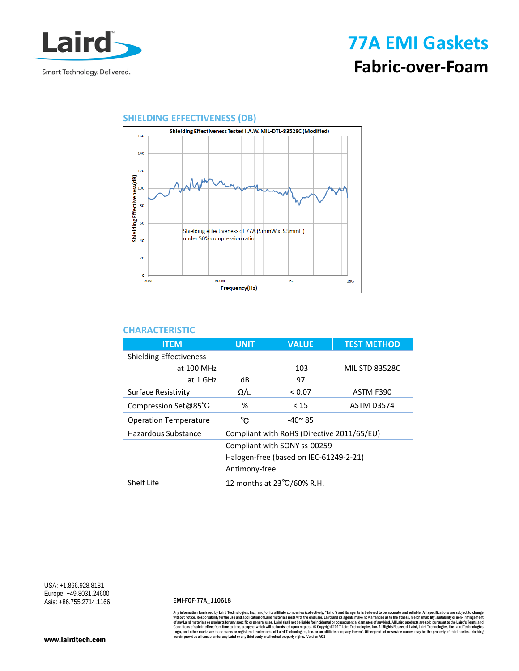

## **77A EMI Gaskets Fabric-over-Foam**



### **SHIELDING EFFECTIVENESS (DB)**

### **CHARACTERISTIC**

| <b>ITEM</b>                    | <b>UNIT</b>                                | <b>VALUE</b>   | <b>TEST METHOD</b>    |
|--------------------------------|--------------------------------------------|----------------|-----------------------|
| <b>Shielding Effectiveness</b> |                                            |                |                       |
| at 100 MHz                     |                                            | 103            | <b>MIL STD 83528C</b> |
| at 1 GHz                       | dB                                         | 97             |                       |
| <b>Surface Resistivity</b>     | Ω/⊡                                        | < 0.07         | ASTM F390             |
| Compression Set@85°C           | %                                          | $<$ 15         | <b>ASTM D3574</b>     |
| <b>Operation Temperature</b>   | °C                                         | $-40^\circ$ 85 |                       |
| Hazardous Substance            | Compliant with RoHS (Directive 2011/65/EU) |                |                       |
|                                | Compliant with SONY ss-00259               |                |                       |
|                                | Halogen-free (based on IEC-61249-2-21)     |                |                       |
|                                | Antimony-free                              |                |                       |
| Shelf Life                     | 12 months at 23°C/60% R.H.                 |                |                       |

USA: +1.866.928.8181 Europe: +49.8031.24600 Asia: +86.755.2714.1166

#### EMI-FOF-77A\_110618

Any information furnished by Laird Technologies, Inc., and/or its affiliate companies (collectively, "Laird") and its agents is believed to be accurate and reliable. All specifications are subject to change of any Laird Te